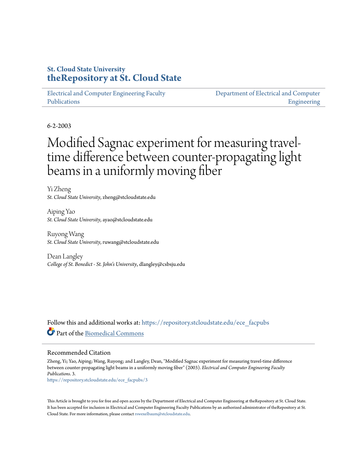# **St. Cloud State University [theRepository at St. Cloud State](https://repository.stcloudstate.edu?utm_source=repository.stcloudstate.edu%2Fece_facpubs%2F3&utm_medium=PDF&utm_campaign=PDFCoverPages)**

[Electrical and Computer Engineering Faculty](https://repository.stcloudstate.edu/ece_facpubs?utm_source=repository.stcloudstate.edu%2Fece_facpubs%2F3&utm_medium=PDF&utm_campaign=PDFCoverPages) [Publications](https://repository.stcloudstate.edu/ece_facpubs?utm_source=repository.stcloudstate.edu%2Fece_facpubs%2F3&utm_medium=PDF&utm_campaign=PDFCoverPages)

[Department of Electrical and Computer](https://repository.stcloudstate.edu/ece?utm_source=repository.stcloudstate.edu%2Fece_facpubs%2F3&utm_medium=PDF&utm_campaign=PDFCoverPages) [Engineering](https://repository.stcloudstate.edu/ece?utm_source=repository.stcloudstate.edu%2Fece_facpubs%2F3&utm_medium=PDF&utm_campaign=PDFCoverPages)

6-2-2003

# Modified Sagnac experiment for measuring traveltime difference between counter-propagating light beams in a uniformly moving fiber

Yi Zheng *St. Cloud State University*, zheng@stcloudstate.edu

Aiping Yao *St. Cloud State University*, ayao@stcloudstate.edu

Ruyong Wang *St. Cloud State University*, ruwang@stcloudstate.edu

Dean Langley *College of St. Benedict - St. John's University*, dlangley@csbsju.edu

Follow this and additional works at: [https://repository.stcloudstate.edu/ece\\_facpubs](https://repository.stcloudstate.edu/ece_facpubs?utm_source=repository.stcloudstate.edu%2Fece_facpubs%2F3&utm_medium=PDF&utm_campaign=PDFCoverPages) Part of the [Biomedical Commons](http://network.bepress.com/hgg/discipline/267?utm_source=repository.stcloudstate.edu%2Fece_facpubs%2F3&utm_medium=PDF&utm_campaign=PDFCoverPages)

# Recommended Citation

Zheng, Yi; Yao, Aiping; Wang, Ruyong; and Langley, Dean, "Modified Sagnac experiment for measuring travel-time difference between counter-propagating light beams in a uniformly moving fiber" (2003). *Electrical and Computer Engineering Faculty Publications*. 3.

[https://repository.stcloudstate.edu/ece\\_facpubs/3](https://repository.stcloudstate.edu/ece_facpubs/3?utm_source=repository.stcloudstate.edu%2Fece_facpubs%2F3&utm_medium=PDF&utm_campaign=PDFCoverPages)

This Article is brought to you for free and open access by the Department of Electrical and Computer Engineering at theRepository at St. Cloud State. It has been accepted for inclusion in Electrical and Computer Engineering Faculty Publications by an authorized administrator of theRepository at St. Cloud State. For more information, please contact [rswexelbaum@stcloudstate.edu](mailto:rswexelbaum@stcloudstate.edu).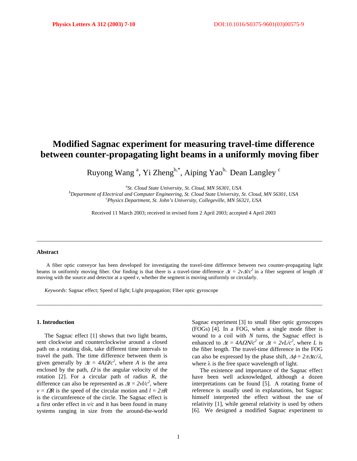# **Modified Sagnac experiment for measuring travel-time difference between counter-propagating light beams in a uniformly moving fiber**

Ruyong Wang<sup>a</sup>, Yi Zheng<sup>b,\*</sup>, Aiping Yao<sup>b,</sup> Dean Langley<sup>c</sup>

<sup>a</sup>St. Cloud State University, St. Cloud, MN 56301, USA b<br><sup>b</sup>Department of Electrical and Computer Engineering, St. Cloud State University

*Department of Electrical and Computer Engineering, St. Cloud State University, St. Cloud, MN 56301, USA c Physics Department, St. John's University, Collegeville, MN 56321, USA*

Received 11 March 2003; received in revised form 2 April 2003; accepted 4 April 2003

## **Abstract**

A fiber optic conveyor has been developed for investigating the travel-time difference between two counter-propagating light beams in uniformly moving fiber. Our finding is that there is a travel-time difference Δ*t = 2v*Δ*l/c<sup>2</sup>*in a fiber segment of length Δ*l* moving with the source and detector at a speed *v*, whether the segment is moving uniformly or circularly.

\_\_\_\_\_\_\_\_\_\_\_\_\_\_\_\_\_\_\_\_\_\_\_\_\_\_\_\_\_\_\_\_\_\_\_\_\_\_\_\_\_\_\_\_\_\_\_\_\_\_\_\_\_\_\_\_\_\_\_\_\_\_\_\_\_\_\_\_\_\_\_\_\_\_\_\_\_\_\_\_\_\_\_\_\_\_\_\_\_\_\_\_\_\_\_\_\_\_

\_\_\_\_\_\_\_\_\_\_\_\_\_\_\_\_\_\_\_\_\_\_\_\_\_\_\_\_\_\_\_\_\_\_\_\_\_\_\_\_\_\_\_\_\_\_\_\_\_\_\_\_\_\_\_\_\_\_\_\_\_\_\_\_\_\_\_\_\_\_\_\_\_\_\_\_\_\_\_\_\_\_\_\_\_\_\_\_\_\_\_\_\_\_\_\_\_\_

*Keywords:* Sagnac effect; Speed of light; Light propagation; Fiber optic gyroscope

#### **1. Introduction**

The Sagnac effect [1] shows that two light beams, sent clockwise and counterclockwise around a closed path on a rotating disk, take different time intervals to travel the path. The time difference between them is given generally by  $\Delta t = 4A\Omega/c^2$ , where *A* is the area enclosed by the path,  $\Omega$  is the angular velocity of the rotation [2]. For a circular path of radius *R*, the difference can also be represented as  $\Delta t = 2vI/c^2$ , where  $v = \Omega R$  is the speed of the circular motion and  $l = 2\pi R$ is the circumference of the circle. The Sagnac effect is a first order effect in *v/c* and it has been found in many systems ranging in size from the around-the-world

Sagnac experiment [3] to small fiber optic gyroscopes (FOGs) [4]. In a FOG, when a single mode fiber is wound to a coil with *N* turns, the Sagnac effect is enhanced to  $\Delta t = 4A\Omega N/c^2$  or  $\Delta t = 2vL/c^2$ , where *L* is the fiber length. The travel-time difference in the FOG can also be expressed by the phase shift,  $\Delta \phi = 2\pi \Delta t c / \lambda$ , where  $\lambda$  is the free space wavelength of light.

The existence and importance of the Sagnac effect have been well acknowledged, although a dozen interpretations can be found [5]. A rotating frame of reference is usually used in explanations, but Sagnac himself interpreted the effect without the use of relativity [1], while general relativity is used by others [6]. We designed a modified Sagnac experiment to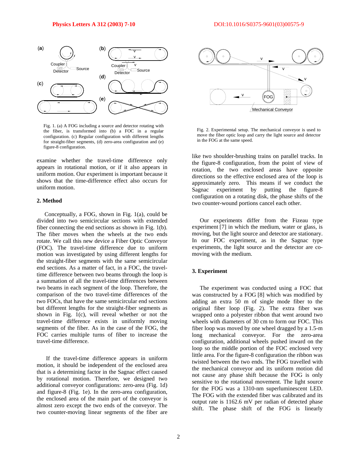

Fig. 1. (a) A FOG including a source and detector rotating with the fiber, is transformed into (b) a FOC in a regular configuration. (c) Regular configuration with different lengths for straight-fiber segments, (d) zero-area configuration and (e) figure-8 configuration.

examine whether the travel-time difference only appears in rotational motion, or if it also appears in uniform motion. Our experiment is important because it shows that the time-difference effect also occurs for uniform motion.

#### **2. Method**

Conceptually, a FOG, shown in Fig. 1(a), could be divided into two semicircular sections with extended fiber connecting the end sections as shown in Fig. 1(b). The fiber moves when the wheels at the two ends rotate. We call this new device a Fiber Optic Conveyor (FOC). The travel-time difference due to uniform motion was investigated by using different lengths for the straight-fiber segments with the same semicircular end sections. As a matter of fact, in a FOC, the traveltime difference between two beams through the loop is a summation of all the travel-time differences between two beams in each segment of the loop. Therefore, the comparison of the two travel-time differences of the two FOCs, that have the same semicircular end sections but different lengths for the straight-fiber segments as shown in Fig. 1(c), will reveal whether or not the travel-time difference exists in uniformly moving segments of the fiber. As in the case of the FOG, the FOC carries multiple turns of fiber to increase the travel-time difference.

 If the travel-time difference appears in uniform motion, it should be independent of the enclosed area that is a determining factor in the Sagnac effect caused by rotational motion. Therefore, we designed two additional conveyor configurations: zero-area (Fig. 1d) and figure-8 (Fig. 1e). In the zero-area configuration, the enclosed area of the main part of the conveyor is almost zero except the two ends of the conveyor. The two counter-moving linear segments of the fiber are



Fig. 2. Experimental setup. The mechanical conveyor is used to move the fiber optic loop and carry the light source and detector in the FOG at the same speed.

like two shoulder-brushing trains on parallel tracks. In the figure-8 configuration, from the point of view of rotation, the two enclosed areas have opposite directions so the effective enclosed area of the loop is approximately zero. This means if we conduct the Sagnac experiment by putting the figure-8 configuration on a rotating disk, the phase shifts of the two counter-wound portions cancel each other.

Our experiments differ from the Fizeau type experiment [7] in which the medium, water or glass, is moving, but the light source and detector are stationary. In our FOC experiment, as in the Sagnac type experiments, the light source and the detector are comoving with the medium.

## **3. Experiment**

The experiment was conducted using a FOC that was constructed by a FOG [8] which was modified by adding an extra 50 m of single mode fiber to the original fiber loop (Fig. 2). The extra fiber was wrapped onto a polyester ribbon that went around two wheels with diameters of 30 cm to form our FOC. This fiber loop was moved by one wheel dragged by a 1.5-m long mechanical conveyor. For the zero-area configuration, additional wheels pushed inward on the loop so the middle portion of the FOC enclosed very little area. For the figure-8 configuration the ribbon was twisted between the two ends. The FOG travelled with the mechanical conveyor and its uniform motion did not cause any phase shift because the FOG is only sensitive to the rotational movement. The light source for the FOG was a 1310-nm superluminescent LED. The FOG with the extended fiber was calibrated and its output rate is 1162.6 mV per radian of detected phase shift. The phase shift of the FOG is linearly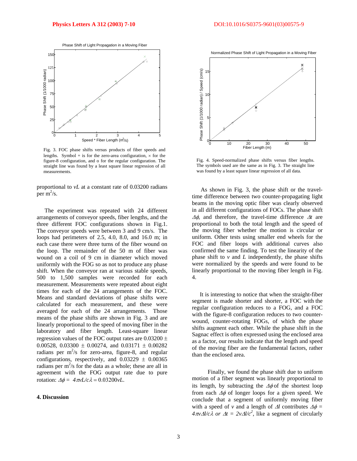

Fig. 3. FOC phase shifts versus products of fiber speeds and lengths. Symbol + is for the zero-area configuration,  $\times$  for the figure-8 configuration, and o for the regular configuration. The straight line was found by a least square linear regression of all measurements.

proportional to *vL* at a constant rate of 0.03200 radians per  $m^2/s$ .

The experiment was repeated with 24 different arrangements of conveyor speeds, fiber lengths, and the three different FOC configurations shown in Fig.1. The conveyor speeds were between 3 and 9 cm/s. The loops had perimeters of 2.5, 4.0, 8.0, and 16.0 m; in each case there were three turns of the fiber wound on the loop. The remainder of the 50 m of fiber was wound on a coil of 9 cm in diameter which moved uniformly with the FOG so as not to produce any phase shift. When the conveyor ran at various stable speeds, 500 to 1,500 samples were recorded for each measurement. Measurements were repeated about eight times for each of the 24 arrangements of the FOC. Means and standard deviations of phase shifts were calculated for each measurement, and these were averaged for each of the 24 arrangements. Those means of the phase shifts are shown in Fig. 3 and are linearly proportional to the speed of moving fiber in the laboratory and fiber length. Least-square linear regression values of the FOC output rates are  $0.03200 \pm$ 0.00528, 0.03300  $\pm$  0.00274, and 0.03171  $\pm$  0.00282 radians per  $m^2/s$  for zero-area, figure-8, and regular configurations, respectively, and  $0.03229 \pm 0.00365$ radians per  $m^2/s$  for the data as a whole; these are all in agreement with the FOG output rate due to pure rotation:  $\Delta \phi = 4\pi v L/c \lambda = 0.03200 v L$ .

# **4. Discussion**



Fig. 4. Speed-normalized phase shifts versus fiber lengths. The symbols used are the same as in Fig. 3. The straight line was found by a least square linear regression of all data.

 As shown in Fig. 3, the phase shift or the traveltime difference between two counter-propagating light beams in the moving optic fiber was clearly observed in all different configurations of FOCs. The phase shift Δφ, and therefore, the travel-time difference Δ*t* are proportional to both the total length and the speed of the moving fiber whether the motion is circular or uniform. Other tests using smaller end wheels for the FOC and fiber loops with additional curves also confirmed the same finding. To test the linearity of the phase shift to  $\nu$  and  $L$  independently, the phase shifts were normalized by the speeds and were found to be linearly proportional to the moving fiber length in Fig. 4.

It is interesting to notice that when the straight-fiber segment is made shorter and shorter, a FOC with the regular configuration reduces to a FOG, and a FOC with the figure-8 configuration reduces to two counterwound, counter-rotating FOGs, of which the phase shifts augment each other. While the phase shift in the Sagnac effect is often expressed using the enclosed area as a factor, our results indicate that the length and speed of the moving fiber are the fundamental factors, rather than the enclosed area.

 Finally, we found the phase shift due to uniform motion of a fiber segment was linearly proportional to its length, by subtracting the  $\Delta\phi$  of the shortest loop from each  $\Delta\phi$  of longer loops for a given speed. We conclude that a segment of uniformly moving fiber with a speed of *v* and a length of  $\Delta l$  contributes  $\Delta \phi$  = *4*π*v*Δ*l/cλ or*  $\Delta t = 2v\Delta l/c^2$ *, like a segment of circularly*